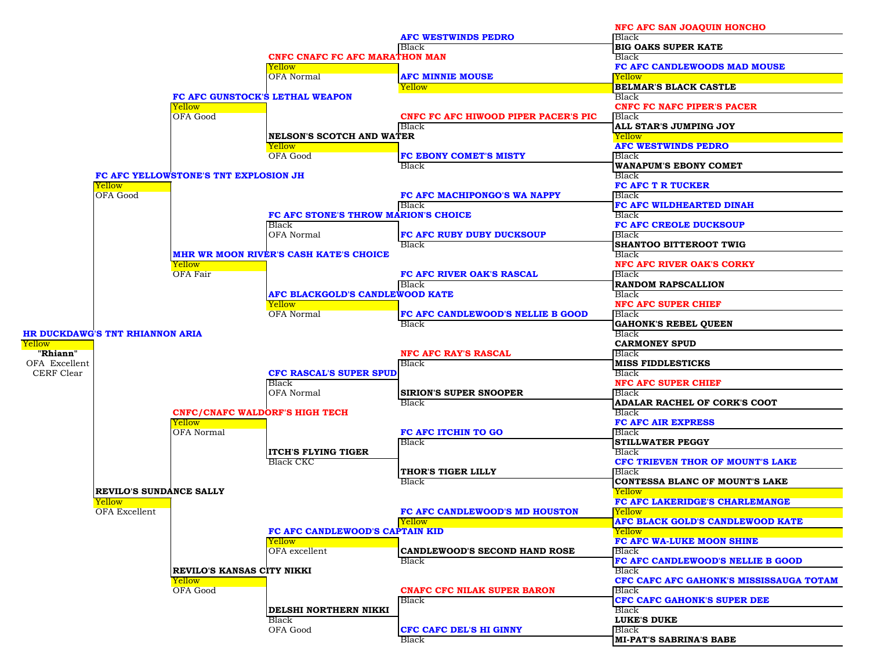